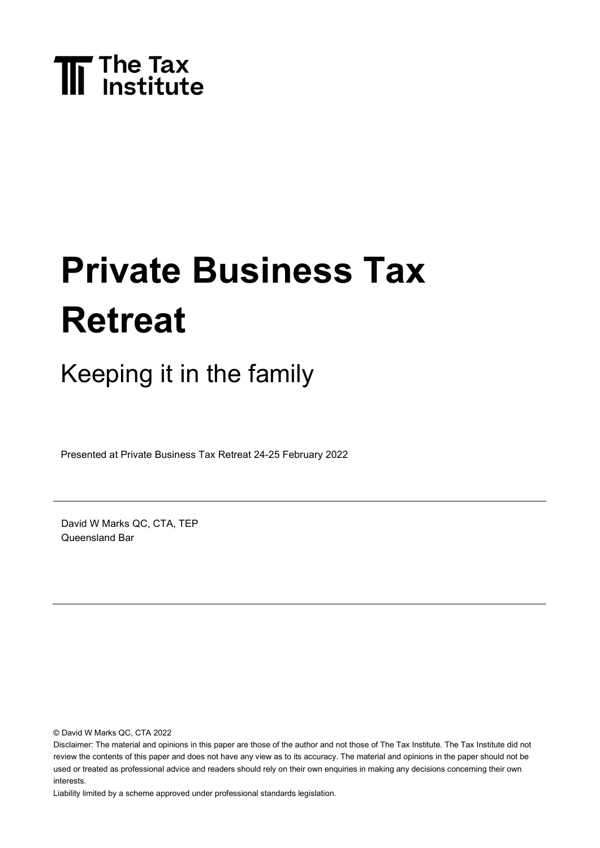

# **Private Business Tax Retreat**

# Keeping it in the family

Presented at Private Business Tax Retreat 24-25 February 2022

David W Marks QC, CTA, TEP Queensland Bar

© David W Marks QC, CTA 2022

Disclaimer: The material and opinions in this paper are those of the author and not those of The Tax Institute. The Tax Institute did not review the contents of this paper and does not have any view as to its accuracy. The material and opinions in the paper should not be used or treated as professional advice and readers should rely on their own enquiries in making any decisions concerning their own interests.

Liability limited by a scheme approved under professional standards legislation.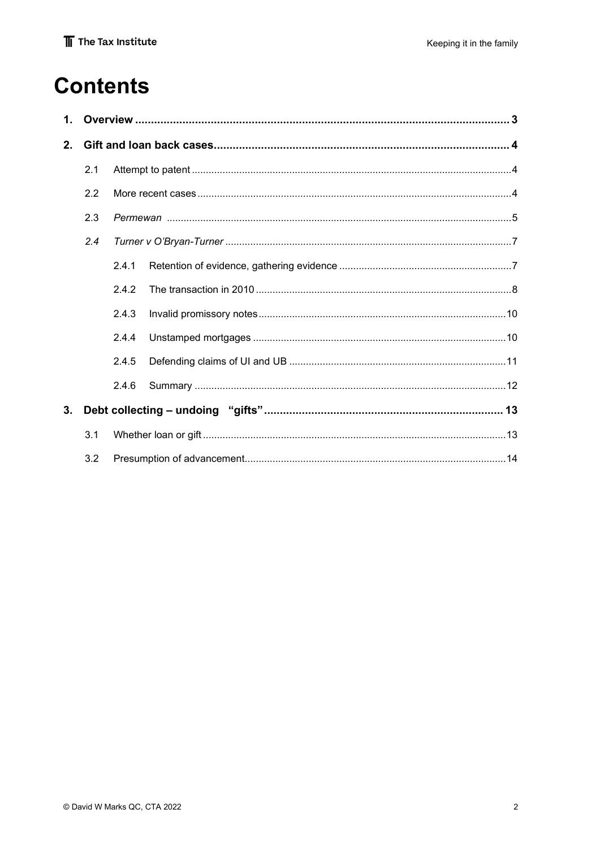# **Contents**

| $1_{-}$ |     |       |  |  |
|---------|-----|-------|--|--|
| $2_{-}$ |     |       |  |  |
|         | 2.1 |       |  |  |
|         | 2.2 |       |  |  |
|         | 2.3 |       |  |  |
|         | 2.4 |       |  |  |
|         |     | 2.4.1 |  |  |
|         |     | 242   |  |  |
|         |     | 2.4.3 |  |  |
|         |     | 2.4.4 |  |  |
|         |     | 2.4.5 |  |  |
|         |     | 2.4.6 |  |  |
| 3.      | 3.1 |       |  |  |
|         |     |       |  |  |
|         | 3.2 |       |  |  |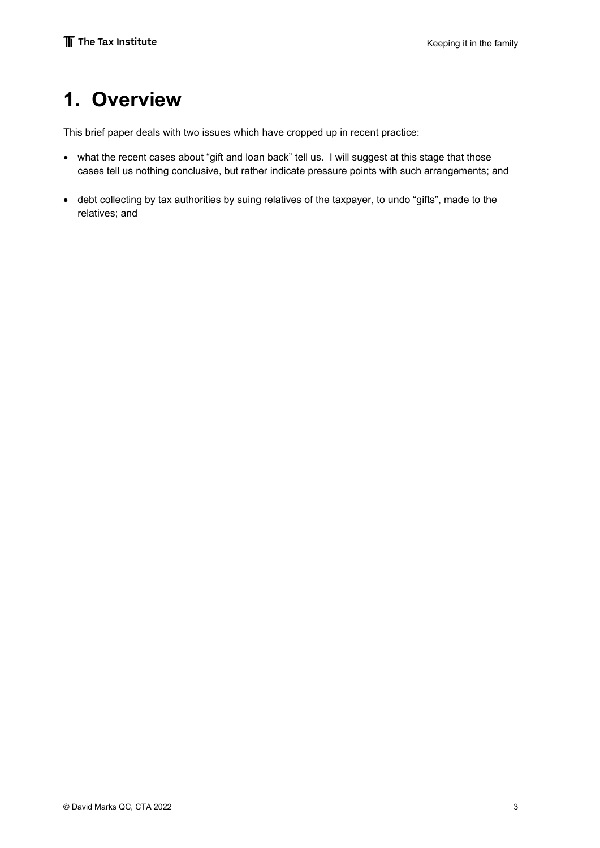# <span id="page-2-0"></span>**1. Overview**

This brief paper deals with two issues which have cropped up in recent practice:

- what the recent cases about "gift and loan back" tell us. I will suggest at this stage that those cases tell us nothing conclusive, but rather indicate pressure points with such arrangements; and
- debt collecting by tax authorities by suing relatives of the taxpayer, to undo "gifts", made to the relatives; and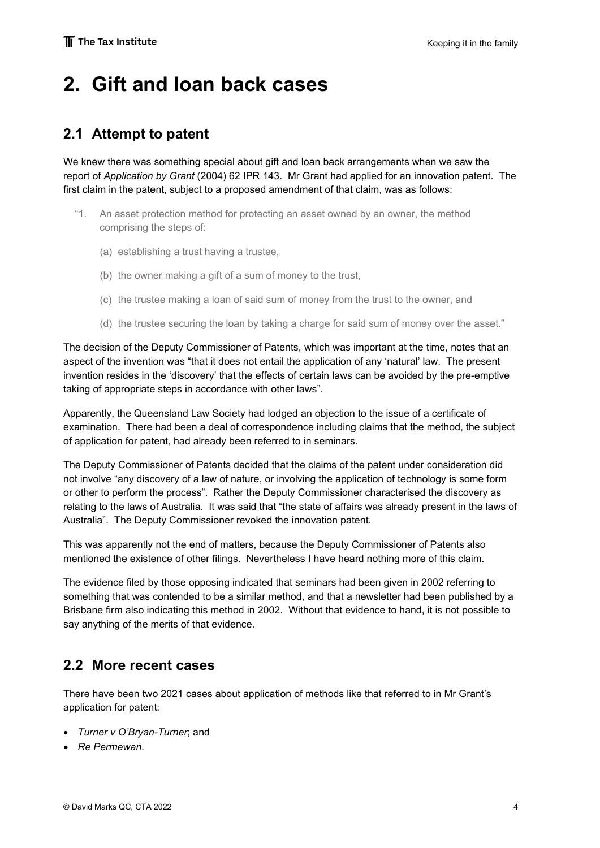# <span id="page-3-0"></span>**2. Gift and loan back cases**

# <span id="page-3-1"></span>**2.1 Attempt to patent**

We knew there was something special about gift and loan back arrangements when we saw the report of *Application by Grant* (2004) 62 IPR 143. Mr Grant had applied for an innovation patent. The first claim in the patent, subject to a proposed amendment of that claim, was as follows:

- "1. An asset protection method for protecting an asset owned by an owner, the method comprising the steps of:
	- (a) establishing a trust having a trustee,
	- (b) the owner making a gift of a sum of money to the trust,
	- (c) the trustee making a loan of said sum of money from the trust to the owner, and
	- (d) the trustee securing the loan by taking a charge for said sum of money over the asset."

The decision of the Deputy Commissioner of Patents, which was important at the time, notes that an aspect of the invention was "that it does not entail the application of any 'natural' law. The present invention resides in the 'discovery' that the effects of certain laws can be avoided by the pre-emptive taking of appropriate steps in accordance with other laws".

Apparently, the Queensland Law Society had lodged an objection to the issue of a certificate of examination. There had been a deal of correspondence including claims that the method, the subject of application for patent, had already been referred to in seminars.

The Deputy Commissioner of Patents decided that the claims of the patent under consideration did not involve "any discovery of a law of nature, or involving the application of technology is some form or other to perform the process". Rather the Deputy Commissioner characterised the discovery as relating to the laws of Australia. It was said that "the state of affairs was already present in the laws of Australia". The Deputy Commissioner revoked the innovation patent.

This was apparently not the end of matters, because the Deputy Commissioner of Patents also mentioned the existence of other filings. Nevertheless I have heard nothing more of this claim.

The evidence filed by those opposing indicated that seminars had been given in 2002 referring to something that was contended to be a similar method, and that a newsletter had been published by a Brisbane firm also indicating this method in 2002. Without that evidence to hand, it is not possible to say anything of the merits of that evidence.

# <span id="page-3-2"></span>**2.2 More recent cases**

There have been two 2021 cases about application of methods like that referred to in Mr Grant's application for patent:

- *Turner v O'Bryan-Turner*; and
- *Re Permewan*.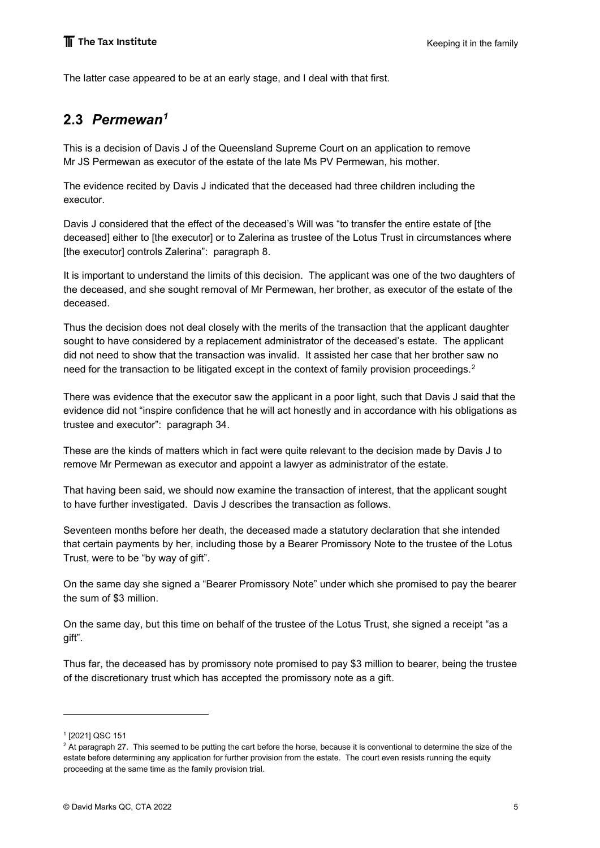The latter case appeared to be at an early stage, and I deal with that first.

# <span id="page-4-0"></span>**2.3** *Permewan[1](#page-4-1)*

This is a decision of Davis J of the Queensland Supreme Court on an application to remove Mr JS Permewan as executor of the estate of the late Ms PV Permewan, his mother.

The evidence recited by Davis J indicated that the deceased had three children including the executor.

Davis J considered that the effect of the deceased's Will was "to transfer the entire estate of [the deceased] either to [the executor] or to Zalerina as trustee of the Lotus Trust in circumstances where [the executor] controls Zalerina": paragraph 8.

It is important to understand the limits of this decision. The applicant was one of the two daughters of the deceased, and she sought removal of Mr Permewan, her brother, as executor of the estate of the deceased.

Thus the decision does not deal closely with the merits of the transaction that the applicant daughter sought to have considered by a replacement administrator of the deceased's estate. The applicant did not need to show that the transaction was invalid. It assisted her case that her brother saw no need for the transaction to be litigated except in the context of family provision proceedings.<sup>2</sup>

There was evidence that the executor saw the applicant in a poor light, such that Davis J said that the evidence did not "inspire confidence that he will act honestly and in accordance with his obligations as trustee and executor": paragraph 34.

These are the kinds of matters which in fact were quite relevant to the decision made by Davis J to remove Mr Permewan as executor and appoint a lawyer as administrator of the estate.

That having been said, we should now examine the transaction of interest, that the applicant sought to have further investigated. Davis J describes the transaction as follows.

Seventeen months before her death, the deceased made a statutory declaration that she intended that certain payments by her, including those by a Bearer Promissory Note to the trustee of the Lotus Trust, were to be "by way of gift".

On the same day she signed a "Bearer Promissory Note" under which she promised to pay the bearer the sum of \$3 million.

On the same day, but this time on behalf of the trustee of the Lotus Trust, she signed a receipt "as a gift".

Thus far, the deceased has by promissory note promised to pay \$3 million to bearer, being the trustee of the discretionary trust which has accepted the promissory note as a gift.

<sup>1</sup> [2021] QSC 151

<span id="page-4-2"></span><span id="page-4-1"></span> $2$  At paragraph 27. This seemed to be putting the cart before the horse, because it is conventional to determine the size of the estate before determining any application for further provision from the estate. The court even resists running the equity proceeding at the same time as the family provision trial.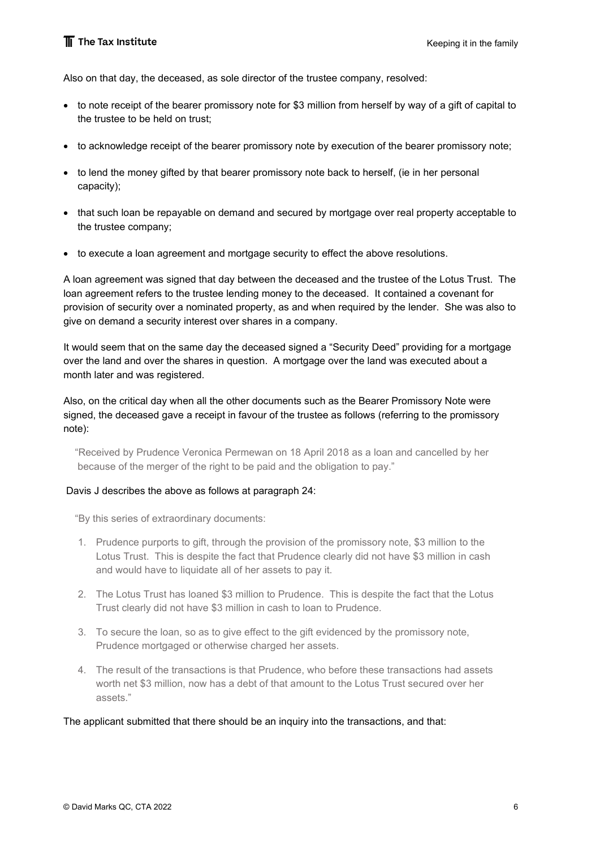Also on that day, the deceased, as sole director of the trustee company, resolved:

- to note receipt of the bearer promissory note for \$3 million from herself by way of a gift of capital to the trustee to be held on trust;
- to acknowledge receipt of the bearer promissory note by execution of the bearer promissory note;
- to lend the money gifted by that bearer promissory note back to herself, (ie in her personal capacity);
- that such loan be repayable on demand and secured by mortgage over real property acceptable to the trustee company;
- to execute a loan agreement and mortgage security to effect the above resolutions.

A loan agreement was signed that day between the deceased and the trustee of the Lotus Trust. The loan agreement refers to the trustee lending money to the deceased. It contained a covenant for provision of security over a nominated property, as and when required by the lender. She was also to give on demand a security interest over shares in a company.

It would seem that on the same day the deceased signed a "Security Deed" providing for a mortgage over the land and over the shares in question. A mortgage over the land was executed about a month later and was registered.

Also, on the critical day when all the other documents such as the Bearer Promissory Note were signed, the deceased gave a receipt in favour of the trustee as follows (referring to the promissory note):

"Received by Prudence Veronica Permewan on 18 April 2018 as a loan and cancelled by her because of the merger of the right to be paid and the obligation to pay."

#### Davis J describes the above as follows at paragraph 24:

"By this series of extraordinary documents:

- 1. Prudence purports to gift, through the provision of the promissory note, \$3 million to the Lotus Trust. This is despite the fact that Prudence clearly did not have \$3 million in cash and would have to liquidate all of her assets to pay it.
- 2. The Lotus Trust has loaned \$3 million to Prudence. This is despite the fact that the Lotus Trust clearly did not have \$3 million in cash to loan to Prudence.
- 3. To secure the loan, so as to give effect to the gift evidenced by the promissory note, Prudence mortgaged or otherwise charged her assets.
- 4. The result of the transactions is that Prudence, who before these transactions had assets worth net \$3 million, now has a debt of that amount to the Lotus Trust secured over her assets."

The applicant submitted that there should be an inquiry into the transactions, and that: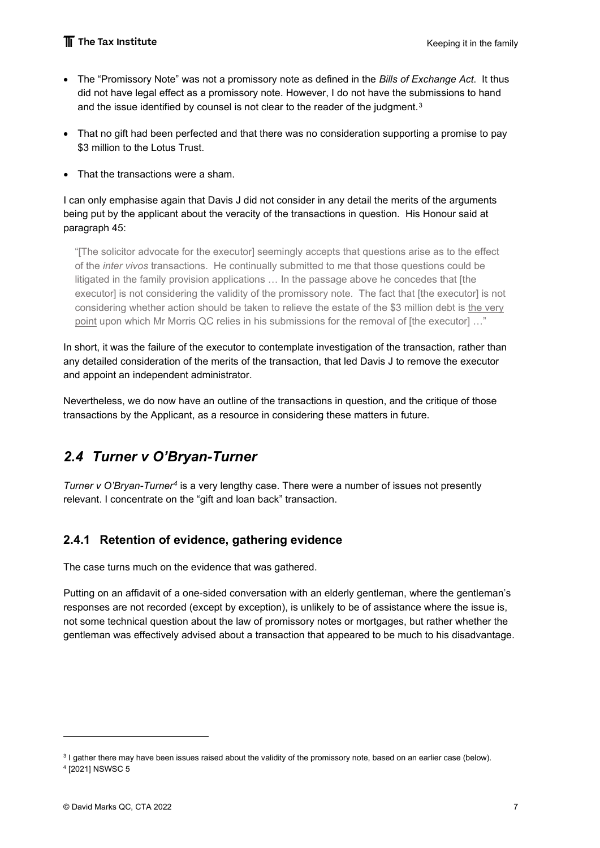#### $\overline{\mathbb{I}\mathbb{I}}$  The Tax Institute

- The "Promissory Note" was not a promissory note as defined in the *Bills of Exchange Act*. It thus did not have legal effect as a promissory note. However, I do not have the submissions to hand and the issue identified by counsel is not clear to the reader of the judgment.<sup>[3](#page-6-2)</sup>
- That no gift had been perfected and that there was no consideration supporting a promise to pay \$3 million to the Lotus Trust.
- That the transactions were a sham.

I can only emphasise again that Davis J did not consider in any detail the merits of the arguments being put by the applicant about the veracity of the transactions in question. His Honour said at paragraph 45:

"[The solicitor advocate for the executor] seemingly accepts that questions arise as to the effect of the *inter vivos* transactions. He continually submitted to me that those questions could be litigated in the family provision applications … In the passage above he concedes that [the executor] is not considering the validity of the promissory note. The fact that [the executor] is not considering whether action should be taken to relieve the estate of the \$3 million debt is the very point upon which Mr Morris QC relies in his submissions for the removal of [the executor] ..."

In short, it was the failure of the executor to contemplate investigation of the transaction, rather than any detailed consideration of the merits of the transaction, that led Davis J to remove the executor and appoint an independent administrator.

Nevertheless, we do now have an outline of the transactions in question, and the critique of those transactions by the Applicant, as a resource in considering these matters in future.

# <span id="page-6-0"></span>*2.4 Turner v O'Bryan-Turner*

*Turner v O'Bryan-Turner[4](#page-6-3)* is a very lengthy case. There were a number of issues not presently relevant. I concentrate on the "gift and loan back" transaction.

### <span id="page-6-1"></span>**2.4.1 Retention of evidence, gathering evidence**

The case turns much on the evidence that was gathered.

Putting on an affidavit of a one-sided conversation with an elderly gentleman, where the gentleman's responses are not recorded (except by exception), is unlikely to be of assistance where the issue is, not some technical question about the law of promissory notes or mortgages, but rather whether the gentleman was effectively advised about a transaction that appeared to be much to his disadvantage.

<span id="page-6-3"></span><span id="page-6-2"></span><sup>&</sup>lt;sup>3</sup> I gather there may have been issues raised about the validity of the promissory note, based on an earlier case (below). <sup>4</sup> [2021] NSWSC 5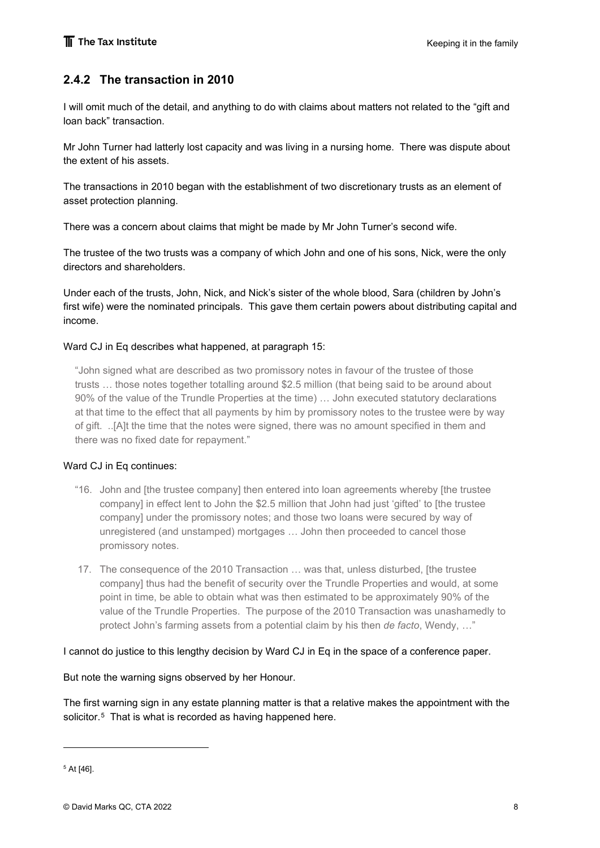### <span id="page-7-0"></span>**2.4.2 The transaction in 2010**

I will omit much of the detail, and anything to do with claims about matters not related to the "gift and loan back" transaction.

Mr John Turner had latterly lost capacity and was living in a nursing home. There was dispute about the extent of his assets.

The transactions in 2010 began with the establishment of two discretionary trusts as an element of asset protection planning.

There was a concern about claims that might be made by Mr John Turner's second wife.

The trustee of the two trusts was a company of which John and one of his sons, Nick, were the only directors and shareholders.

Under each of the trusts, John, Nick, and Nick's sister of the whole blood, Sara (children by John's first wife) were the nominated principals. This gave them certain powers about distributing capital and income.

#### Ward CJ in Eq describes what happened, at paragraph 15:

"John signed what are described as two promissory notes in favour of the trustee of those trusts … those notes together totalling around \$2.5 million (that being said to be around about 90% of the value of the Trundle Properties at the time) … John executed statutory declarations at that time to the effect that all payments by him by promissory notes to the trustee were by way of gift. ..[A]t the time that the notes were signed, there was no amount specified in them and there was no fixed date for repayment."

#### Ward CJ in Eq continues:

- "16. John and [the trustee company] then entered into loan agreements whereby [the trustee company] in effect lent to John the \$2.5 million that John had just 'gifted' to [the trustee company] under the promissory notes; and those two loans were secured by way of unregistered (and unstamped) mortgages … John then proceeded to cancel those promissory notes.
- 17. The consequence of the 2010 Transaction … was that, unless disturbed, [the trustee company] thus had the benefit of security over the Trundle Properties and would, at some point in time, be able to obtain what was then estimated to be approximately 90% of the value of the Trundle Properties. The purpose of the 2010 Transaction was unashamedly to protect John's farming assets from a potential claim by his then *de facto*, Wendy, …"

#### I cannot do justice to this lengthy decision by Ward CJ in Eq in the space of a conference paper.

#### But note the warning signs observed by her Honour.

The first warning sign in any estate planning matter is that a relative makes the appointment with the solicitor.<sup>5</sup> That is what is recorded as having happened here.

<span id="page-7-1"></span><sup>5</sup> At [46].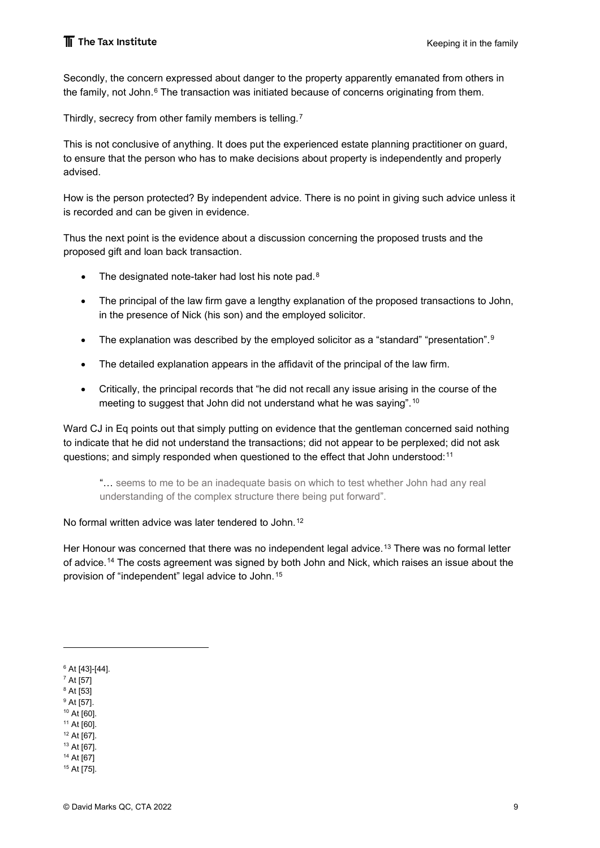Secondly, the concern expressed about danger to the property apparently emanated from others in the family, not John.<sup>[6](#page-8-0)</sup> The transaction was initiated because of concerns originating from them.

Thirdly, secrecy from other family members is telling.[7](#page-8-1)

This is not conclusive of anything. It does put the experienced estate planning practitioner on guard, to ensure that the person who has to make decisions about property is independently and properly advised.

How is the person protected? By independent advice. There is no point in giving such advice unless it is recorded and can be given in evidence.

Thus the next point is the evidence about a discussion concerning the proposed trusts and the proposed gift and loan back transaction.

- The designated note-taker had lost his note pad.<sup>[8](#page-8-2)</sup>
- The principal of the law firm gave a lengthy explanation of the proposed transactions to John, in the presence of Nick (his son) and the employed solicitor.
- The explanation was described by the employed solicitor as a "standard" "presentation".[9](#page-8-3)
- The detailed explanation appears in the affidavit of the principal of the law firm.
- Critically, the principal records that "he did not recall any issue arising in the course of the meeting to suggest that John did not understand what he was saying".<sup>[10](#page-8-4)</sup>

Ward CJ in Eq points out that simply putting on evidence that the gentleman concerned said nothing to indicate that he did not understand the transactions; did not appear to be perplexed; did not ask questions; and simply responded when questioned to the effect that John understood:[11](#page-8-5)

"… seems to me to be an inadequate basis on which to test whether John had any real understanding of the complex structure there being put forward".

#### No formal written advice was later tendered to John.<sup>[12](#page-8-6)</sup>

Her Honour was concerned that there was no independent legal advice.<sup>[13](#page-8-7)</sup> There was no formal letter of advice.[14](#page-8-8) The costs agreement was signed by both John and Nick, which raises an issue about the provision of "independent" legal advice to John.[15](#page-8-9)

- <span id="page-8-3"></span><sup>9</sup> At [57].
- <span id="page-8-4"></span><sup>10</sup> At [60]. <sup>11</sup> At [60].

<span id="page-8-5"></span><sup>12</sup> At [67].

<span id="page-8-7"></span><span id="page-8-6"></span><sup>13</sup> At [67].

<span id="page-8-8"></span><sup>14</sup> At [67]

<span id="page-8-9"></span><sup>15</sup> At [75].

<span id="page-8-0"></span><sup>6</sup> At [43]-[44].

<span id="page-8-1"></span> $^7$  At [57]

<span id="page-8-2"></span><sup>8</sup> At [53]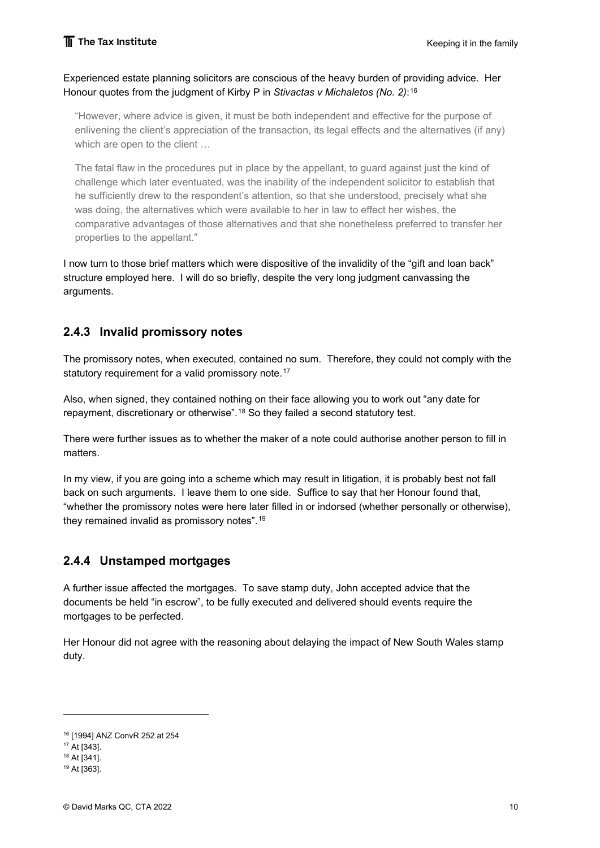Experienced estate planning solicitors are conscious of the heavy burden of providing advice. Her Honour quotes from the judgment of Kirby P in *Stivactas v Michaletos (No. 2)*:[16](#page-9-2)

"However, where advice is given, it must be both independent and effective for the purpose of enlivening the client's appreciation of the transaction, its legal effects and the alternatives (if any) which are open to the client ...

The fatal flaw in the procedures put in place by the appellant, to guard against just the kind of challenge which later eventuated, was the inability of the independent solicitor to establish that he sufficiently drew to the respondent's attention, so that she understood, precisely what she was doing, the alternatives which were available to her in law to effect her wishes, the comparative advantages of those alternatives and that she nonetheless preferred to transfer her properties to the appellant."

I now turn to those brief matters which were dispositive of the invalidity of the "gift and loan back" structure employed here. I will do so briefly, despite the very long judgment canvassing the arguments.

### <span id="page-9-0"></span>**2.4.3 Invalid promissory notes**

The promissory notes, when executed, contained no sum. Therefore, they could not comply with the statutory requirement for a valid promissory note.<sup>[17](#page-9-3)</sup>

Also, when signed, they contained nothing on their face allowing you to work out "any date for repayment, discretionary or otherwise".[18](#page-9-4) So they failed a second statutory test.

There were further issues as to whether the maker of a note could authorise another person to fill in matters.

In my view, if you are going into a scheme which may result in litigation, it is probably best not fall back on such arguments. I leave them to one side. Suffice to say that her Honour found that, "whether the promissory notes were here later filled in or indorsed (whether personally or otherwise), they remained invalid as promissory notes".[19](#page-9-5)

### <span id="page-9-1"></span>**2.4.4 Unstamped mortgages**

A further issue affected the mortgages. To save stamp duty, John accepted advice that the documents be held "in escrow", to be fully executed and delivered should events require the mortgages to be perfected.

Her Honour did not agree with the reasoning about delaying the impact of New South Wales stamp duty.

<span id="page-9-2"></span><sup>16</sup> [1994] ANZ ConvR 252 at 254

<span id="page-9-3"></span><sup>17</sup> At [343].

<sup>18</sup> At [341].

<span id="page-9-5"></span><span id="page-9-4"></span><sup>19</sup> At [363].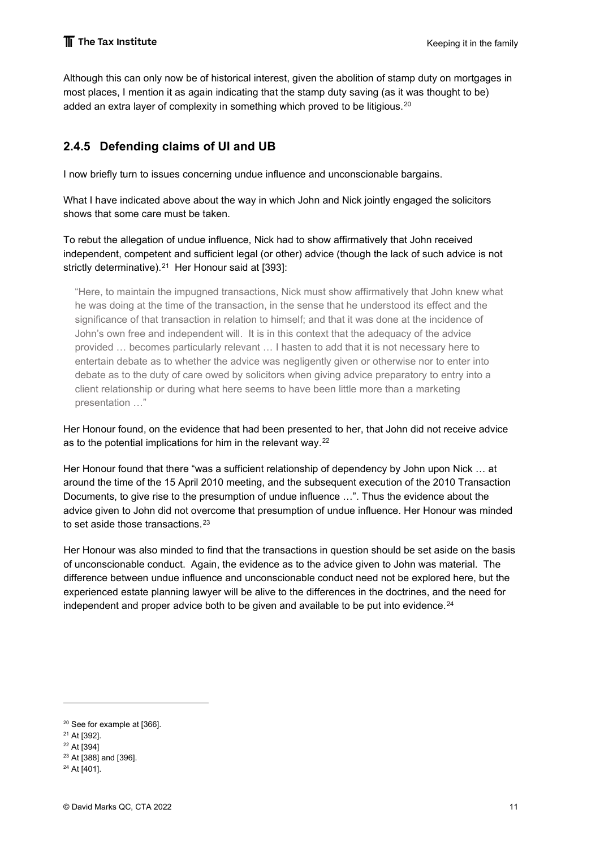Although this can only now be of historical interest, given the abolition of stamp duty on mortgages in most places, I mention it as again indicating that the stamp duty saving (as it was thought to be) added an extra layer of complexity in something which proved to be litigious.<sup>[20](#page-10-1)</sup>

## <span id="page-10-0"></span>**2.4.5 Defending claims of UI and UB**

I now briefly turn to issues concerning undue influence and unconscionable bargains.

What I have indicated above about the way in which John and Nick jointly engaged the solicitors shows that some care must be taken.

To rebut the allegation of undue influence, Nick had to show affirmatively that John received independent, competent and sufficient legal (or other) advice (though the lack of such advice is not strictly determinative).<sup>[21](#page-10-2)</sup> Her Honour said at [393]:

"Here, to maintain the impugned transactions, Nick must show affirmatively that John knew what he was doing at the time of the transaction, in the sense that he understood its effect and the significance of that transaction in relation to himself; and that it was done at the incidence of John's own free and independent will. It is in this context that the adequacy of the advice provided … becomes particularly relevant … I hasten to add that it is not necessary here to entertain debate as to whether the advice was negligently given or otherwise nor to enter into debate as to the duty of care owed by solicitors when giving advice preparatory to entry into a client relationship or during what here seems to have been little more than a marketing presentation …"

Her Honour found, on the evidence that had been presented to her, that John did not receive advice as to the potential implications for him in the relevant way.[22](#page-10-3)

Her Honour found that there "was a sufficient relationship of dependency by John upon Nick … at around the time of the 15 April 2010 meeting, and the subsequent execution of the 2010 Transaction Documents, to give rise to the presumption of undue influence …". Thus the evidence about the advice given to John did not overcome that presumption of undue influence. Her Honour was minded to set aside those transactions.<sup>[23](#page-10-4)</sup>

Her Honour was also minded to find that the transactions in question should be set aside on the basis of unconscionable conduct. Again, the evidence as to the advice given to John was material. The difference between undue influence and unconscionable conduct need not be explored here, but the experienced estate planning lawyer will be alive to the differences in the doctrines, and the need for independent and proper advice both to be given and available to be put into evidence. $24$ 

<span id="page-10-1"></span><sup>20</sup> See for example at [366].

<span id="page-10-2"></span><sup>21</sup> At [392].

<span id="page-10-3"></span><sup>22</sup> At [394]

<span id="page-10-4"></span><sup>23</sup> At [388] and [396].

<span id="page-10-5"></span><sup>24</sup> At [401].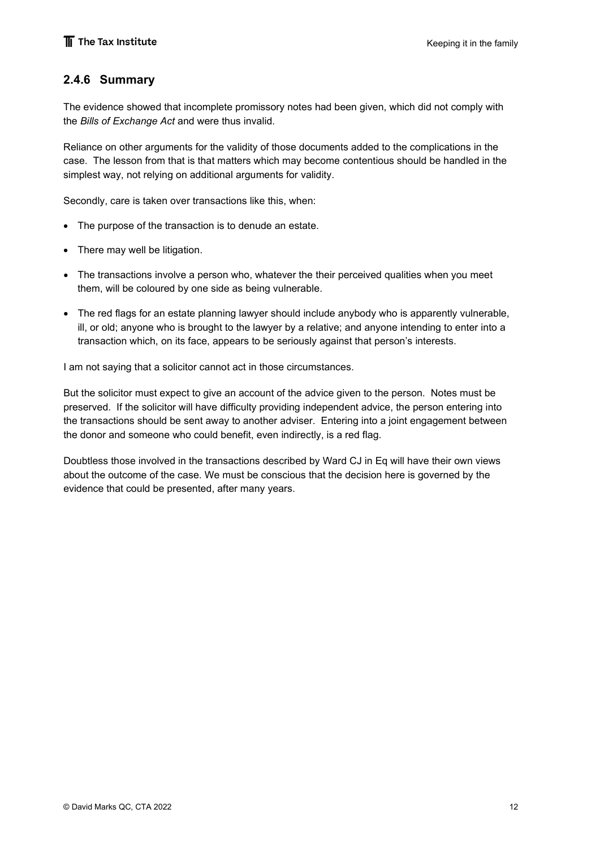### <span id="page-11-0"></span>**2.4.6 Summary**

The evidence showed that incomplete promissory notes had been given, which did not comply with the *Bills of Exchange Act* and were thus invalid.

Reliance on other arguments for the validity of those documents added to the complications in the case. The lesson from that is that matters which may become contentious should be handled in the simplest way, not relying on additional arguments for validity.

Secondly, care is taken over transactions like this, when:

- The purpose of the transaction is to denude an estate.
- There may well be litigation.
- The transactions involve a person who, whatever the their perceived qualities when you meet them, will be coloured by one side as being vulnerable.
- The red flags for an estate planning lawyer should include anybody who is apparently vulnerable, ill, or old; anyone who is brought to the lawyer by a relative; and anyone intending to enter into a transaction which, on its face, appears to be seriously against that person's interests.

I am not saying that a solicitor cannot act in those circumstances.

But the solicitor must expect to give an account of the advice given to the person. Notes must be preserved. If the solicitor will have difficulty providing independent advice, the person entering into the transactions should be sent away to another adviser. Entering into a joint engagement between the donor and someone who could benefit, even indirectly, is a red flag.

Doubtless those involved in the transactions described by Ward CJ in Eq will have their own views about the outcome of the case. We must be conscious that the decision here is governed by the evidence that could be presented, after many years.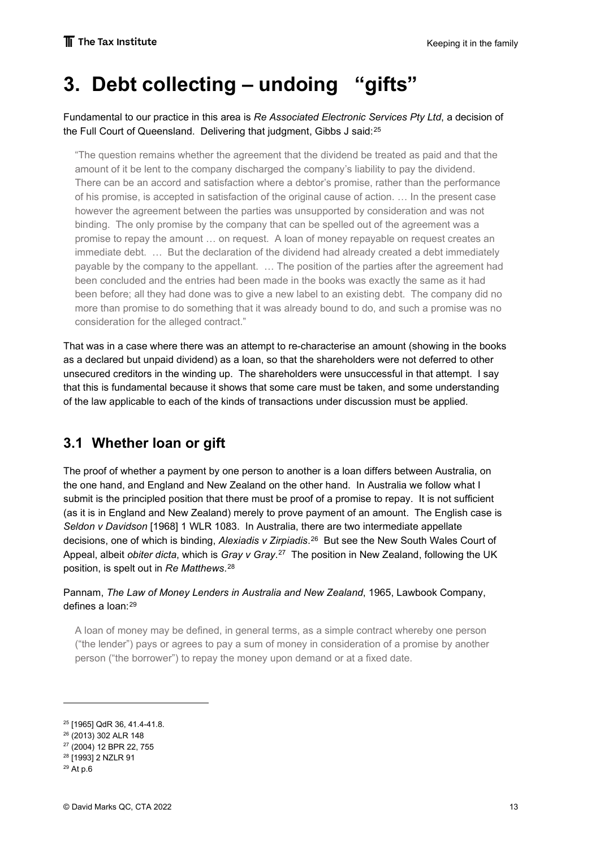# <span id="page-12-0"></span>**3. Debt collecting – undoing "gifts"**

Fundamental to our practice in this area is *Re Associated Electronic Services Pty Ltd*, a decision of the Full Court of Queensland. Delivering that judgment, Gibbs J said:[25](#page-12-2)

"The question remains whether the agreement that the dividend be treated as paid and that the amount of it be lent to the company discharged the company's liability to pay the dividend. There can be an accord and satisfaction where a debtor's promise, rather than the performance of his promise, is accepted in satisfaction of the original cause of action. … In the present case however the agreement between the parties was unsupported by consideration and was not binding. The only promise by the company that can be spelled out of the agreement was a promise to repay the amount … on request. A loan of money repayable on request creates an immediate debt. … But the declaration of the dividend had already created a debt immediately payable by the company to the appellant. … The position of the parties after the agreement had been concluded and the entries had been made in the books was exactly the same as it had been before; all they had done was to give a new label to an existing debt. The company did no more than promise to do something that it was already bound to do, and such a promise was no consideration for the alleged contract."

That was in a case where there was an attempt to re-characterise an amount (showing in the books as a declared but unpaid dividend) as a loan, so that the shareholders were not deferred to other unsecured creditors in the winding up. The shareholders were unsuccessful in that attempt. I say that this is fundamental because it shows that some care must be taken, and some understanding of the law applicable to each of the kinds of transactions under discussion must be applied.

# <span id="page-12-1"></span>**3.1 Whether loan or gift**

The proof of whether a payment by one person to another is a loan differs between Australia, on the one hand, and England and New Zealand on the other hand. In Australia we follow what I submit is the principled position that there must be proof of a promise to repay. It is not sufficient (as it is in England and New Zealand) merely to prove payment of an amount. The English case is *Seldon v Davidson* [1968] 1 WLR 1083. In Australia, there are two intermediate appellate decisions, one of which is binding, *Alexiadis v Zirpiadis*.[26](#page-12-3) But see the New South Wales Court of Appeal, albeit *obiter dicta*, which is *Gray v Gray*.[27](#page-12-4) The position in New Zealand, following the UK position, is spelt out in *Re Matthews*.[28](#page-12-5)

#### Pannam, *The Law of Money Lenders in Australia and New Zealand*, 1965, Lawbook Company, defines a loan:<sup>[29](#page-12-6)</sup>

A loan of money may be defined, in general terms, as a simple contract whereby one person ("the lender") pays or agrees to pay a sum of money in consideration of a promise by another person ("the borrower") to repay the money upon demand or at a fixed date.

<span id="page-12-2"></span><sup>25</sup> [1965] QdR 36, 41.4-41.8.

<span id="page-12-3"></span><sup>26</sup> (2013) 302 ALR 148

<span id="page-12-4"></span><sup>27</sup> (2004) 12 BPR 22, 755

<span id="page-12-5"></span><sup>28</sup> [1993] 2 NZLR 91

<span id="page-12-6"></span><sup>29</sup> At p.6